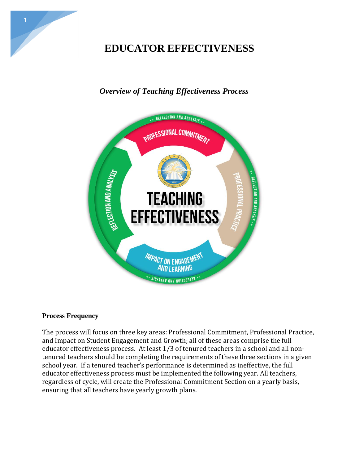# **EDUCATOR EFFECTIVENESS**

# *Overview of Teaching Effectiveness Process*



#### **Process Frequency**

The process will focus on three key areas: Professional Commitment, Professional Practice, and Impact on Student Engagement and Growth; all of these areas comprise the full educator effectiveness process. At least 1/3 of tenured teachers in a school and all nontenured teachers should be completing the requirements of these three sections in a given school year. If a tenured teacher's performance is determined as ineffective, the full educator effectiveness process must be implemented the following year. All teachers, regardless of cycle, will create the Professional Commitment Section on a yearly basis, ensuring that all teachers have yearly growth plans.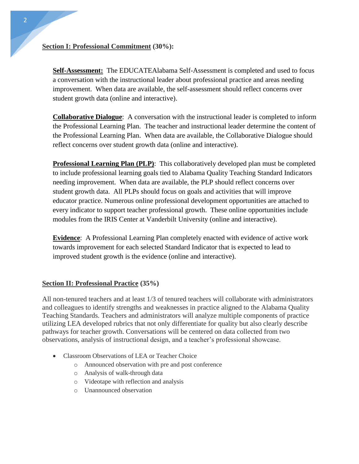#### **Section I: Professional Commitment (30%):**

**Self-Assessment:** The EDUCATEAlabama Self-Assessment is completed and used to focus a conversation with the instructional leader about professional practice and areas needing improvement. When data are available, the self-assessment should reflect concerns over student growth data (online and interactive).

**Collaborative Dialogue**: A conversation with the instructional leader is completed to inform the Professional Learning Plan. The teacher and instructional leader determine the content of the Professional Learning Plan. When data are available, the Collaborative Dialogue should reflect concerns over student growth data (online and interactive).

**Professional Learning Plan (PLP)**: This collaboratively developed plan must be completed to include professional learning goals tied to Alabama Quality Teaching Standard Indicators needing improvement. When data are available, the PLP should reflect concerns over student growth data. All PLPs should focus on goals and activities that will improve educator practice. Numerous online professional development opportunities are attached to every indicator to support teacher professional growth. These online opportunities include modules from the IRIS Center at Vanderbilt University (online and interactive).

**Evidence**: A Professional Learning Plan completely enacted with evidence of active work towards improvement for each selected Standard Indicator that is expected to lead to improved student growth is the evidence (online and interactive).

## **Section II: Professional Practice (35%)**

All non-tenured teachers and at least 1/3 of tenured teachers will collaborate with administrators and colleagues to identify strengths and weaknesses in practice aligned to the Alabama Quality Teaching Standards. Teachers and administrators will analyze multiple components of practice utilizing LEA developed rubrics that not only differentiate for quality but also clearly describe pathways for teacher growth. Conversations will be centered on data collected from two observations, analysis of instructional design, and a teacher's professional showcase.

- Classroom Observations of LEA or Teacher Choice
	- o Announced observation with pre and post conference
	- o Analysis of walk-through data
	- o Videotape with reflection and analysis
	- o Unannounced observation